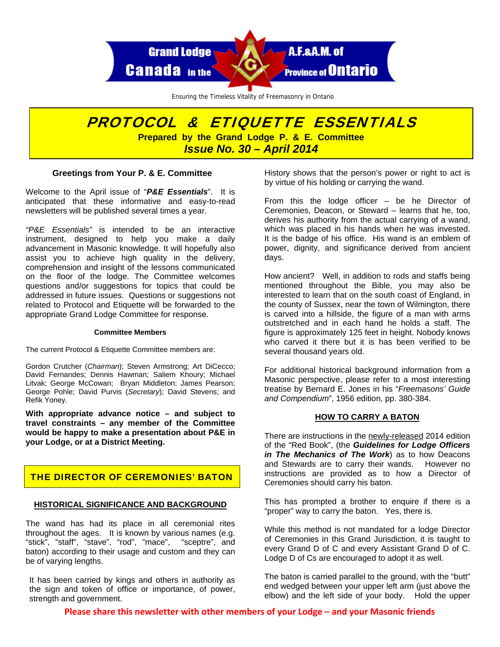

Ensuring the Timeless Vitality of Freemasonry in Ontario

# PROTOCOL & ETIQUETTE ESSENTIALS **Prepared by the Grand Lodge P. & E. Committee**  *Issue No. 30 – April 2014*

## **Greetings from Your P. & E. Committee**

Welcome to the April issue of "*P&E Essentials*". It is anticipated that these informative and easy-to-read newsletters will be published several times a year.

*"P&E Essentials"* is intended to be an interactive instrument, designed to help you make a daily advancement in Masonic knowledge. It will hopefully also assist you to achieve high quality in the delivery, comprehension and insight of the lessons communicated on the floor of the lodge. The Committee welcomes questions and/or suggestions for topics that could be addressed in future issues. Questions or suggestions not related to Protocol and Etiquette will be forwarded to the appropriate Grand Lodge Committee for response.

#### **Committee Members**

The current Protocol & Etiquette Committee members are:

Gordon Crutcher (*Chairman*); Steven Armstrong; Art DiCecco; David Fernandes; Dennis Hawman; Saliem Khoury; Michael Litvak; George McCowan; Bryan Middleton; James Pearson; George Pohle; David Purvis (*Secretary*); David Stevens; and Refik Yoney.

**With appropriate advance notice – and subject to travel constraints – any member of the Committee would be happy to make a presentation about P&E in your Lodge, or at a District Meeting.** 

## THE DIRECTOR OF CEREMONIES' BATON

### **HISTORICAL SIGNIFICANCE AND BACKGROUND**

The wand has had its place in all ceremonial rites throughout the ages. It is known by various names (e.g. "stick", "staff", "stave", "rod", "mace", "sceptre", and baton) according to their usage and custom and they can be of varying lengths.

It has been carried by kings and others in authority as the sign and token of office or importance, of power, strength and government.

History shows that the person's power or right to act is by virtue of his holding or carrying the wand.

From this the lodge officer – be he Director of Ceremonies, Deacon, or Steward – learns that he, too, derives his authority from the actual carrying of a wand, which was placed in his hands when he was invested. It is the badge of his office. His wand is an emblem of power, dignity, and significance derived from ancient days.

How ancient? Well, in addition to rods and staffs being mentioned throughout the Bible, you may also be interested to learn that on the south coast of England, in the county of Sussex, near the town of Wilmington, there is carved into a hillside, the figure of a man with arms outstretched and in each hand he holds a staff. The figure is approximately 125 feet in height. Nobody knows who carved it there but it is has been verified to be several thousand years old.

For additional historical background information from a Masonic perspective, please refer to a most interesting treatise by Bernard E. Jones in his "*Freemasons' Guide and Compendium*", 1956 edition, pp. 380-384.

### **HOW TO CARRY A BATON**

There are instructions in the newly-released 2014 edition of the "Red Book", (the *Guidelines for Lodge Officers in The Mechanics of The Work*) as to how Deacons and Stewards are to carry their wands. However no instructions are provided as to how a Director of Ceremonies should carry his baton.

This has prompted a brother to enquire if there is a "proper" way to carry the baton. Yes, there is.

While this method is not mandated for a lodge Director of Ceremonies in this Grand Jurisdiction, it is taught to every Grand D of C and every Assistant Grand D of C. Lodge D of Cs are encouraged to adopt it as well.

The baton is carried parallel to the ground, with the "butt" end wedged between your upper left arm (just above the elbow) and the left side of your body. Hold the upper

**Please share this newsletter with other members of your Lodge – and your Masonic friends**